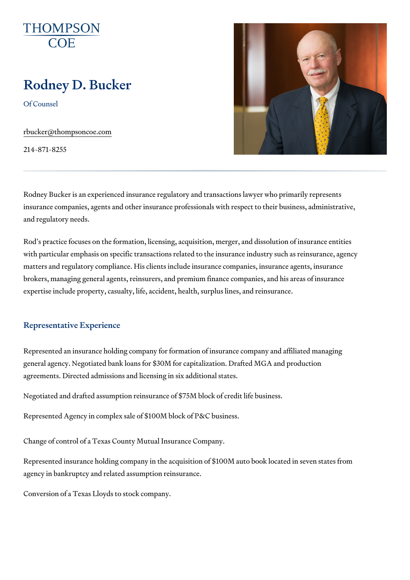# Rodney D. Bucker

Of Counsel

[rbucker@thompso](mailto:rbucker@thompsoncoe.com)ncoe.com

214-871-8255

Rodney Bucker is an experienced insurance regulatory and transactions law insurance companies, agents and other insurance professionals with respe and regulatory needs.

Rod s practice focuses on the formation, licensing, acquisition, merger, ar with particular emphasis on specific transactions related to the insurance matters and regulatory compliance. His clients include insurance companie brokers, managing general agents, reinsurers, and premium finance compa expertise include property, casualty, life, accident, health, surplus lines,

#### Representative Experience

Represented an insurance holding company for formation of insurance com general agency. Negotiated bank loans for \$30M for capitalization. Drafted agreements. Directed admissions and licensing in six additional states.

Negotiated and drafted assumption reinsurance of \$75M block of credit life

Represented Agency in complex sale of \$100M block of P&C business.

Change of control of a Texas County Mutual Insurance Company.

Represented insurance holding company in the acquisition of \$100M auto b agency in bankruptcy and related assumption reinsurance.

Conversion of a Texas Lloyds to stock company.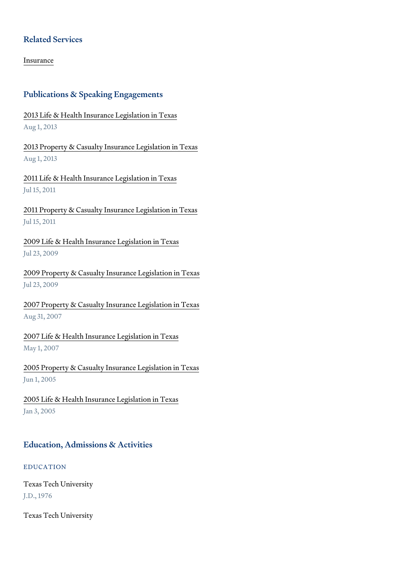## Related Services

[Insura](https://www.thompsoncoe.com/people/rodney-d-bucker/)nce

# Publications & Speaking Engagements

[2013 Life & Health Insurance](https://www.thompsoncoe.com/resources/publications/2013-life-health-insurance-legislation-in-texas/) Legislation in Texas Aug 1, 2013

[2013 Property & Casualty Insuran](https://www.thompsoncoe.com/resources/publications/2013-property-casualty-insurance-legislation-in-texas/)ce Legislation in Texas Aug 1, 2013

[2011 Life & Health Insurance](https://www.thompsoncoe.com/resources/publications/2011-life-health-insurance-legislation-in-texas/) Legislation in Texas Jul 15, 2011

[2011 Property & Casualty Insuran](https://www.thompsoncoe.com/resources/publications/2011-property-casualty-insurance-legislation-in-texas/)ce Legislation in Texas Jul 15, 2011

[2009 Life & Health Insurance L](https://www.thompsoncoe.com/resources/publications/2009-life-health-insurance-legislation-in-texas/)egislation in Texas Jul 23, 2009

[2009 Property & Casualty Insuranc](https://www.thompsoncoe.com/resources/publications/2009-property-casualty-insurance-legislation-in-texas/)e Legislation in Texas Jul 23, 2009

[2007 Property & Casualty Insuranc](https://www.thompsoncoe.com/resources/publications/2007-property-casualty-insurance-legislation-in-texas/)e Legislation in Texas Aug 31, 2007

[2007 Life & Health Insurance](https://www.thompsoncoe.com/resources/publications/2007-life-health-insurance-legislation-in-texas/) Legislation in Texas May 1, 2007

[2005 Property & Casualty Insuranc](https://www.thompsoncoe.com/resources/publications/2005-property-casualty-insurance-legislation-in-texas/)e Legislation in Texas Jun 1, 2005

[2005 Life & Health Insurance](https://www.thompsoncoe.com/resources/publications/2005-life-health-insurance-legislation-in-texas/) Legislation in Texas Jan 3, 2005

# Education, Admissions & Activities

EDUCATION

Texas Tech University J.D., 1976

Texas Tech University